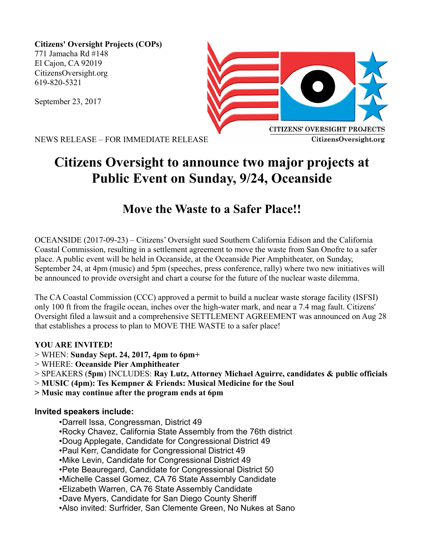**Citizens' Oversight Projects (COPs)** 771 Jamacha Rd #148 El Cajon, CA 92019 CitizensOversight.org 619-820-5321

September 23, 2017



NEWS RELEASE – FOR IMMEDIATE RELEASE

# **Citizens Oversight to announce two major projects at Public Event on Sunday, 9/24, Oceanside**

## **Move the Waste to a Safer Place!!**

OCEANSIDE (2017-09-23) – Citizens' Oversight sued Southern California Edison and the California Coastal Commission, resulting in a settlement agreement to move the waste from San Onofre to a safer place. A public event will be held in Oceanside, at the Oceanside Pier Amphitheater, on Sunday, September 24, at 4pm (music) and 5pm (speeches, press conference, rally) where two new initiatives will be announced to provide oversight and chart a course for the future of the nuclear waste dilemma.

The CA Coastal Commission (CCC) approved a permit to build a nuclear waste storage facility (ISFSI) only 100 ft from the fragile ocean, inches over the high-water mark, and near a 7.4 mag fault. Citizens' Oversight filed a lawsuit and a comprehensive SETTLEMENT AGREEMENT was announced on Aug 28 that establishes a process to plan to MOVE THE WASTE to a safer place!

#### **YOU ARE INVITED!**

- > WHEN: **Sunday Sept. 24, 2017, 4pm to 6pm+**
- > WHERE: **Oceanside Pier Amphitheater**
- > SPEAKERS (**5pm**) INCLUDES: **Ray Lutz, Attorney Michael Aguirre, candidates & public officials**
- > **MUSIC (4pm): Tes Kempner & Friends: Musical Medicine for the Soul**
- **> Music may continue after the program ends at 6pm**

#### **Invited speakers include:**

- •Darrell Issa, Congressman, District 49
- •Rocky Chavez, California State Assembly from the 76th district
- •Doug Applegate, Candidate for Congressional District 49
- •Paul Kerr, Candidate for Congressional District 49
- •Mike Levin, Candidate for Congressional District 49
- •Pete Beauregard, Candidate for Congressional District 50
- •Michelle Cassel Gomez, CA 76 State Assembly Candidate
- •Elizabeth Warren, CA 76 State Assembly Candidate
- •Dave Myers, Candidate for San Diego County Sheriff
- •Also invited: Surfrider, San Clemente Green, No Nukes at Sano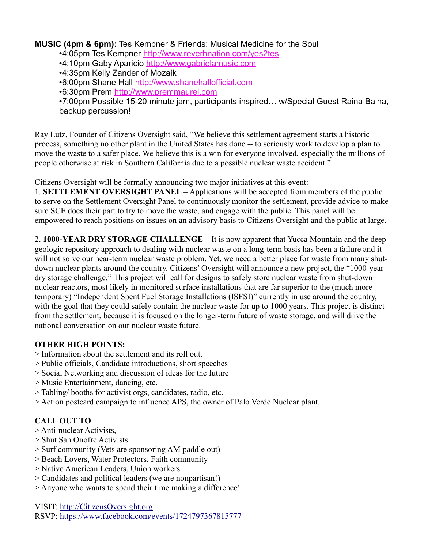#### **MUSIC (4pm & 6pm):** Tes Kempner & Friends: Musical Medicine for the Soul

- •4:05pm Tes Kempner <http://www.reverbnation.com/yes2tes>
- •4:10pm Gaby Aparicio [http://www.gabrielamusic.com](http://www.gabrielamusic.com/)
- •4:35pm Kelly Zander of Mozaik
- •6:00pm Shane Hall [http://www.shanehallofficial.com](http://www.shanehallofficial.com/)
- •6:30pm Prem [http://www.premmaurel.com](http://www.premmaurel.com/)

•7:00pm Possible 15-20 minute jam, participants inspired… w/Special Guest Raina Baina, backup percussion!

Ray Lutz, Founder of Citizens Oversight said, "We believe this settlement agreement starts a historic process, something no other plant in the United States has done -- to seriously work to develop a plan to move the waste to a safer place. We believe this is a win for everyone involved, especially the millions of people otherwise at risk in Southern California due to a possible nuclear waste accident."

Citizens Oversight will be formally announcing two major initiatives at this event:

1. **SETTLEMENT OVERSIGHT PANEL** – Applications will be accepted from members of the public to serve on the Settlement Oversight Panel to continuously monitor the settlement, provide advice to make sure SCE does their part to try to move the waste, and engage with the public. This panel will be empowered to reach positions on issues on an advisory basis to Citizens Oversight and the public at large.

2. **1000-YEAR DRY STORAGE CHALLENGE –** It is now apparent that Yucca Mountain and the deep geologic repository approach to dealing with nuclear waste on a long-term basis has been a failure and it will not solve our near-term nuclear waste problem. Yet, we need a better place for waste from many shutdown nuclear plants around the country. Citizens' Oversight will announce a new project, the "1000-year dry storage challenge." This project will call for designs to safely store nuclear waste from shut-down nuclear reactors, most likely in monitored surface installations that are far superior to the (much more temporary) "Independent Spent Fuel Storage Installations (ISFSI)" currently in use around the country, with the goal that they could safely contain the nuclear waste for up to 1000 years. This project is distinct from the settlement, because it is focused on the longer-term future of waste storage, and will drive the national conversation on our nuclear waste future.

#### **OTHER HIGH POINTS:**

- > Information about the settlement and its roll out.
- > Public officials, Candidate introductions, short speeches
- > Social Networking and discussion of ideas for the future
- > Music Entertainment, dancing, etc.
- > Tabling/ booths for activist orgs, candidates, radio, etc.
- > Action postcard campaign to influence APS, the owner of Palo Verde Nuclear plant.

### **CALL OUT TO**

- > Anti-nuclear Activists,
- > Shut San Onofre Activists
- > Surf community (Vets are sponsoring AM paddle out)
- > Beach Lovers, Water Protectors, Faith community
- > Native American Leaders, Union workers
- > Candidates and political leaders (we are nonpartisan!)
- > Anyone who wants to spend their time making a difference!

VISIT: [http://CitizensOversight.org](http://CitizensOversight.org/) RSVP:<https://www.facebook.com/events/1724797367815777>